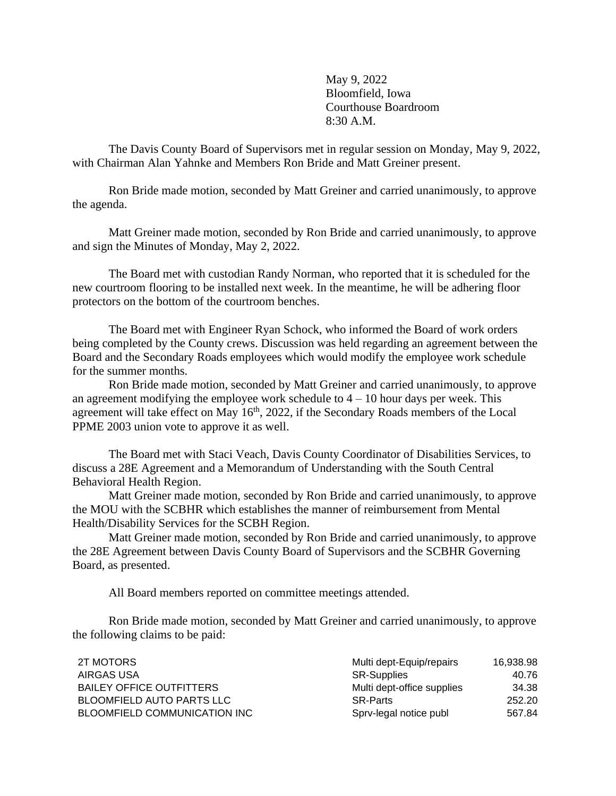May 9, 2022 Bloomfield, Iowa Courthouse Boardroom 8:30 A.M.

The Davis County Board of Supervisors met in regular session on Monday, May 9, 2022, with Chairman Alan Yahnke and Members Ron Bride and Matt Greiner present.

Ron Bride made motion, seconded by Matt Greiner and carried unanimously, to approve the agenda.

Matt Greiner made motion, seconded by Ron Bride and carried unanimously, to approve and sign the Minutes of Monday, May 2, 2022.

The Board met with custodian Randy Norman, who reported that it is scheduled for the new courtroom flooring to be installed next week. In the meantime, he will be adhering floor protectors on the bottom of the courtroom benches.

The Board met with Engineer Ryan Schock, who informed the Board of work orders being completed by the County crews. Discussion was held regarding an agreement between the Board and the Secondary Roads employees which would modify the employee work schedule for the summer months.

Ron Bride made motion, seconded by Matt Greiner and carried unanimously, to approve an agreement modifying the employee work schedule to  $4 - 10$  hour days per week. This agreement will take effect on May 16<sup>th</sup>, 2022, if the Secondary Roads members of the Local PPME 2003 union vote to approve it as well.

The Board met with Staci Veach, Davis County Coordinator of Disabilities Services, to discuss a 28E Agreement and a Memorandum of Understanding with the South Central Behavioral Health Region.

Matt Greiner made motion, seconded by Ron Bride and carried unanimously, to approve the MOU with the SCBHR which establishes the manner of reimbursement from Mental Health/Disability Services for the SCBH Region.

Matt Greiner made motion, seconded by Ron Bride and carried unanimously, to approve the 28E Agreement between Davis County Board of Supervisors and the SCBHR Governing Board, as presented.

All Board members reported on committee meetings attended.

Ron Bride made motion, seconded by Matt Greiner and carried unanimously, to approve the following claims to be paid:

| 2T MOTORS                        | Multi dept-Equip/repairs   | 16.938.98 |
|----------------------------------|----------------------------|-----------|
| AIRGAS USA                       | <b>SR-Supplies</b>         | 40.76     |
| <b>BAILEY OFFICE OUTFITTERS</b>  | Multi dept-office supplies | 34.38     |
| <b>BLOOMFIELD AUTO PARTS LLC</b> | <b>SR-Parts</b>            | 252.20    |
| BLOOMFIELD COMMUNICATION INC     | Sprv-legal notice publ     | 567.84    |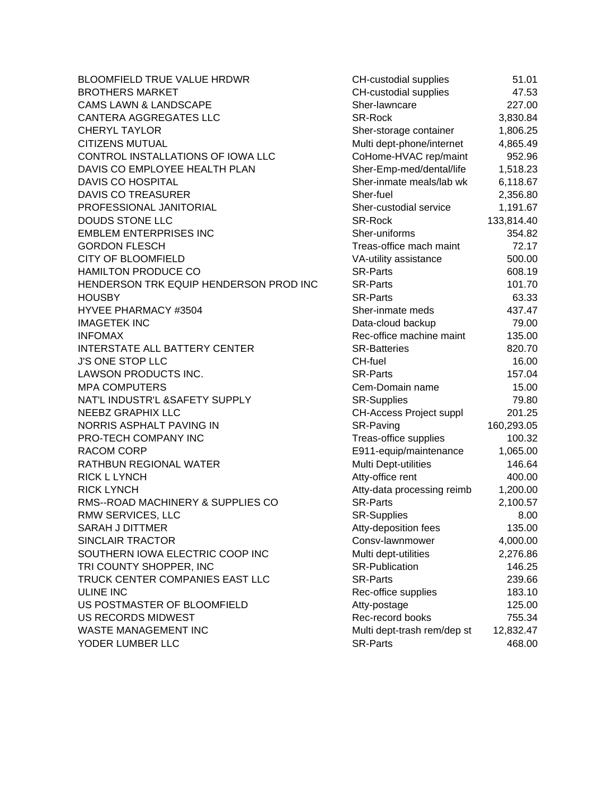BLOOMFIELD TRUE VALUE HRDWR **BROTHERS MARKET** CAMS LAWN & LANDSCAPE CANTERA AGGREGATES LLC **CHERYL TAYLOR CITIZENS MUTUAL** CONTROL INSTALLATIONS OF IOWA LLC DAVIS CO EMPLOYEE HEALTH PLAN DAVIS CO HOSPITAL DAVIS CO TREASURER PROFESSIONAL JANITORIAL DOUDS STONE LLC EMBLEM ENTERPRISES INC **GORDON FLESCH** CITY OF BLOOMFIELD HAMILTON PRODUCE CO HENDERSON TRK EQUIP HENDERSON PROD INC HOUSBY SR-Parts 63.33 HYVEE PHARMACY #3504 **IMAGETEK INC** INFOMAX Rec-office machine maint 135.00 INTERSTATE ALL BATTERY CENTER J'S ONE STOP LLC LAWSON PRODUCTS INC. **MPA COMPUTERS** NAT'L INDUSTR'L &SAFETY SUPPLY NEEBZ GRAPHIX LLC NORRIS ASPHALT PAVING IN PRO-TECH COMPANY INC RACOM CORP RATHBUN REGIONAL WATER **RICK L LYNCH RICK LYNCH** RMS--ROAD MACHINERY & SUPPLIES CO RMW SERVICES, LLC SARAH J DITTMER SINCLAIR TRACTOR SOUTHERN IOWA ELECTRIC COOP INC TRI COUNTY SHOPPER, INC TRUCK CENTER COMPANIES EAST LLC ULINE INC 183.10 US POSTMASTER OF BLOOMFIELD US RECORDS MIDWEST WASTE MANAGEMENT INC YODER LUMBER LLC

| <b>CH-custodial supplies</b>                    | 51.01               |
|-------------------------------------------------|---------------------|
| CH-custodial supplies                           | 47.53               |
| Sher-lawncare                                   | 227.00              |
| <b>SR-Rock</b>                                  | 3,830.84            |
| Sher-storage container                          | 1,806.25            |
| Multi dept-phone/internet                       | 4,865.49            |
| CoHome-HVAC rep/maint                           | 952.96              |
| Sher-Emp-med/dental/life                        | 1,518.23            |
| Sher-inmate meals/lab wk                        | 6,118.67            |
| Sher-fuel                                       | 2,356.80            |
| Sher-custodial service                          | 1,191.67            |
| <b>SR-Rock</b>                                  | 133,814.40          |
| Sher-uniforms                                   | 354.82              |
| Treas-office mach maint                         | 72.17               |
| VA-utility assistance                           | 500.00              |
| <b>SR-Parts</b>                                 | 608.19              |
| <b>SR-Parts</b>                                 | 101.70              |
| <b>SR-Parts</b>                                 | 63.33               |
| Sher-inmate meds                                | 437.47              |
| Data-cloud backup                               | 79.00               |
| Rec-office machine maint                        | 135.00              |
| <b>SR-Batteries</b>                             | 820.70              |
| CH-fuel                                         | 16.00               |
| <b>SR-Parts</b>                                 | 157.04              |
| Cem-Domain name                                 | 15.00               |
| <b>SR-Supplies</b>                              | 79.80               |
| <b>CH-Access Project suppl</b>                  | 201.25              |
| SR-Paving                                       | 160,293.05          |
| Treas-office supplies                           | 100.32              |
| E911-equip/maintenance                          | 1,065.00            |
| Multi Dept-utilities                            | 146.64              |
| Atty-office rent                                | 400.00              |
| Atty-data processing reimb                      | 1,200.00            |
| <b>SR-Parts</b>                                 | 2,100.57            |
| <b>SR-Supplies</b>                              | 8.00                |
| Atty-deposition fees                            | 135.00              |
| Consv-lawnmower                                 | 4,000.00            |
| Multi dept-utilities                            | 2,276.86            |
| <b>SR-Publication</b>                           | 146.25              |
| <b>SR-Parts</b>                                 | 239.66              |
| Rec-office supplies                             | 183.10              |
| Atty-postage                                    | 125.00              |
| Rec-record books<br>Multi dept-trash rem/dep st | 755.34<br>12,832.47 |
| <b>SR-Parts</b>                                 | 468.00              |
|                                                 |                     |